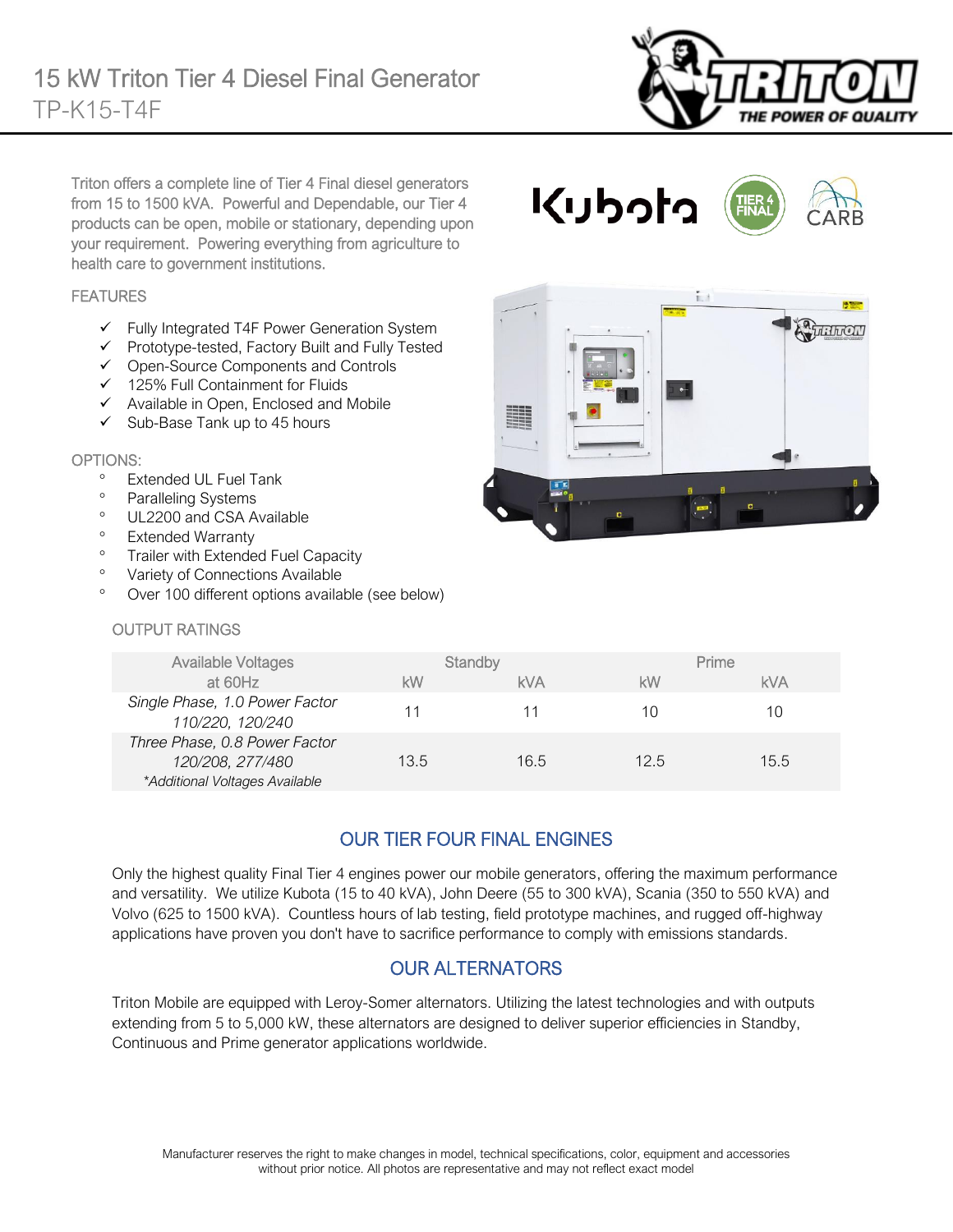

 $\overline{H}$ 

Triton offers a complete line of Tier 4 Final diesel generators from 15 to 1500 kVA. Powerful and Dependable, our Tier 4 products can be open, mobile or stationary, depending upon your requirement. Powering everything from agriculture to health care to government institutions.

### FEATURES

- ✓ Fully Integrated T4F Power Generation System
- ✓ Prototype-tested, Factory Built and Fully Tested
- ✓ Open-Source Components and Controls
- ✓ 125% Full Containment for Fluids
- ✓ Available in Open, Enclosed and Mobile
- $\checkmark$  Sub-Base Tank up to 45 hours

#### OPTIONS:

- Extended UL Fuel Tank
- <sup>o</sup> Paralleling Systems
- <sup>o</sup> UL2200 and CSA Available
- Extended Warranty
- <sup>o</sup> Trailer with Extended Fuel C

Available Voltages

- <sup>o</sup> Variety of Connections Avai
- Over 100 different options a

#### OUTPUT RATINGS

|                                             |            | ۰ | $\blacksquare$ |  |
|---------------------------------------------|------------|---|----------------|--|
| Capacity<br>ilable<br>available (see below) |            |   |                |  |
|                                             |            |   |                |  |
|                                             | $O+$ andhu |   | Deimon         |  |

くりっけっ

| <b>Available Voltages</b>                                                           |      | Standby |      | Prime |  |
|-------------------------------------------------------------------------------------|------|---------|------|-------|--|
| at 60Hz                                                                             | kW   | kVA     | kW   | kVA   |  |
| Single Phase, 1.0 Power Factor<br>110/220, 120/240                                  |      |         | 10   | 10    |  |
| Three Phase, 0.8 Power Factor<br>120/208, 277/480<br>*Additional Voltages Available | 13.5 | 16.5    | 12.5 | 15.5  |  |

l.

l,

# OUR TIER FOUR FINAL ENGINES

Only the highest quality Final Tier 4 engines power our mobile generators, offering the maximum performance and versatility. We utilize Kubota (15 to 40 kVA), John Deere (55 to 300 kVA), Scania (350 to 550 kVA) and Volvo (625 to 1500 kVA). Countless hours of lab testing, field prototype machines, and rugged off-highway applications have proven you don't have to sacrifice performance to comply with emissions standards.

### OUR ALTERNATORS

Triton Mobile are equipped with Leroy-Somer alternators. Utilizing the latest technologies and with outputs extending from 5 to 5,000 kW, these alternators are designed to deliver superior efficiencies in Standby, Continuous and Prime generator applications worldwide.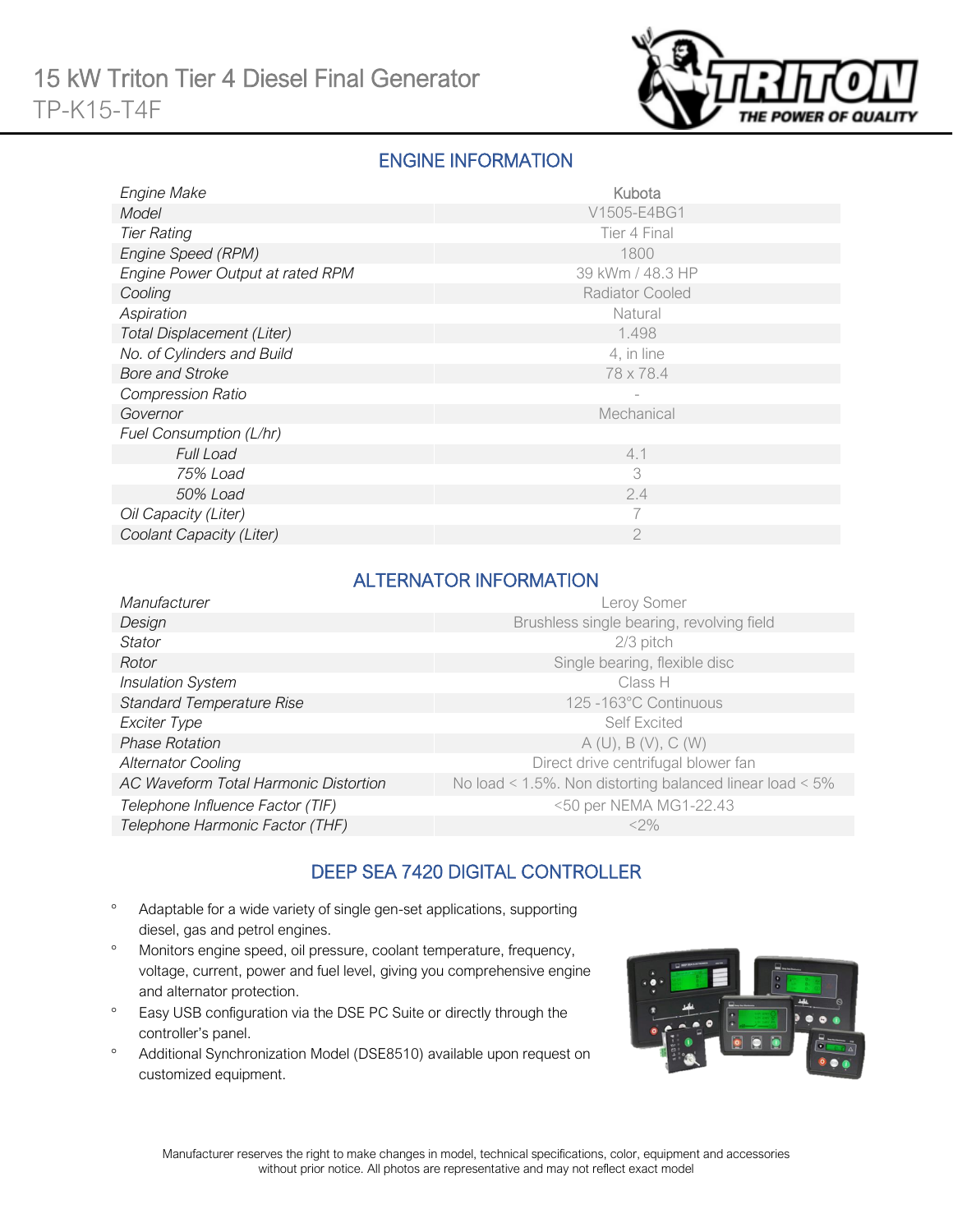

# ENGINE INFORMATION

| <b>Engine Make</b>               | Kubota                 |
|----------------------------------|------------------------|
| Model                            | V1505-E4BG1            |
| <b>Tier Rating</b>               | Tier 4 Final           |
| Engine Speed (RPM)               | 1800                   |
| Engine Power Output at rated RPM | 39 kWm / 48.3 HP       |
| Cooling                          | <b>Radiator Cooled</b> |
| Aspiration                       | Natural                |
| Total Displacement (Liter)       | 1.498                  |
| No. of Cylinders and Build       | 4, in line             |
| <b>Bore and Stroke</b>           | 78 x 78.4              |
| <b>Compression Ratio</b>         |                        |
| Governor                         | Mechanical             |
| Fuel Consumption (L/hr)          |                        |
| <b>Full Load</b>                 | 4.1                    |
| 75% Load                         | 3                      |
| 50% Load                         | 2.4                    |
| Oil Capacity (Liter)             |                        |
| Coolant Capacity (Liter)         | 2                      |

## ALTERNATOR INFORMATION

| Manufacturer                          | Leroy Somer                                              |
|---------------------------------------|----------------------------------------------------------|
| Design                                | Brushless single bearing, revolving field                |
| <b>Stator</b>                         | 2/3 pitch                                                |
| Rotor                                 | Single bearing, flexible disc                            |
| <b>Insulation System</b>              | Class H                                                  |
| <b>Standard Temperature Rise</b>      | 125 -163°C Continuous                                    |
| Exciter Type                          | <b>Self Excited</b>                                      |
| <b>Phase Rotation</b>                 | A(U), B(V), C(W)                                         |
| <b>Alternator Cooling</b>             | Direct drive centrifugal blower fan                      |
| AC Waveform Total Harmonic Distortion | No load < 1.5%. Non distorting balanced linear load < 5% |
| Telephone Influence Factor (TIF)      | <50 per NEMA MG1-22.43                                   |
| Telephone Harmonic Factor (THF)       | $<$ 2%                                                   |

# DEEP SEA 7420 DIGITAL CONTROLLER

- Adaptable for a wide variety of single gen-set applications, supporting diesel, gas and petrol engines.
- Monitors engine speed, oil pressure, coolant temperature, frequency, voltage, current, power and fuel level, giving you comprehensive engine and alternator protection.
- <sup>o</sup> Easy USB configuration via the DSE PC Suite or directly through the controller's panel.
- Additional Synchronization Model (DSE8510) available upon request on customized equipment.

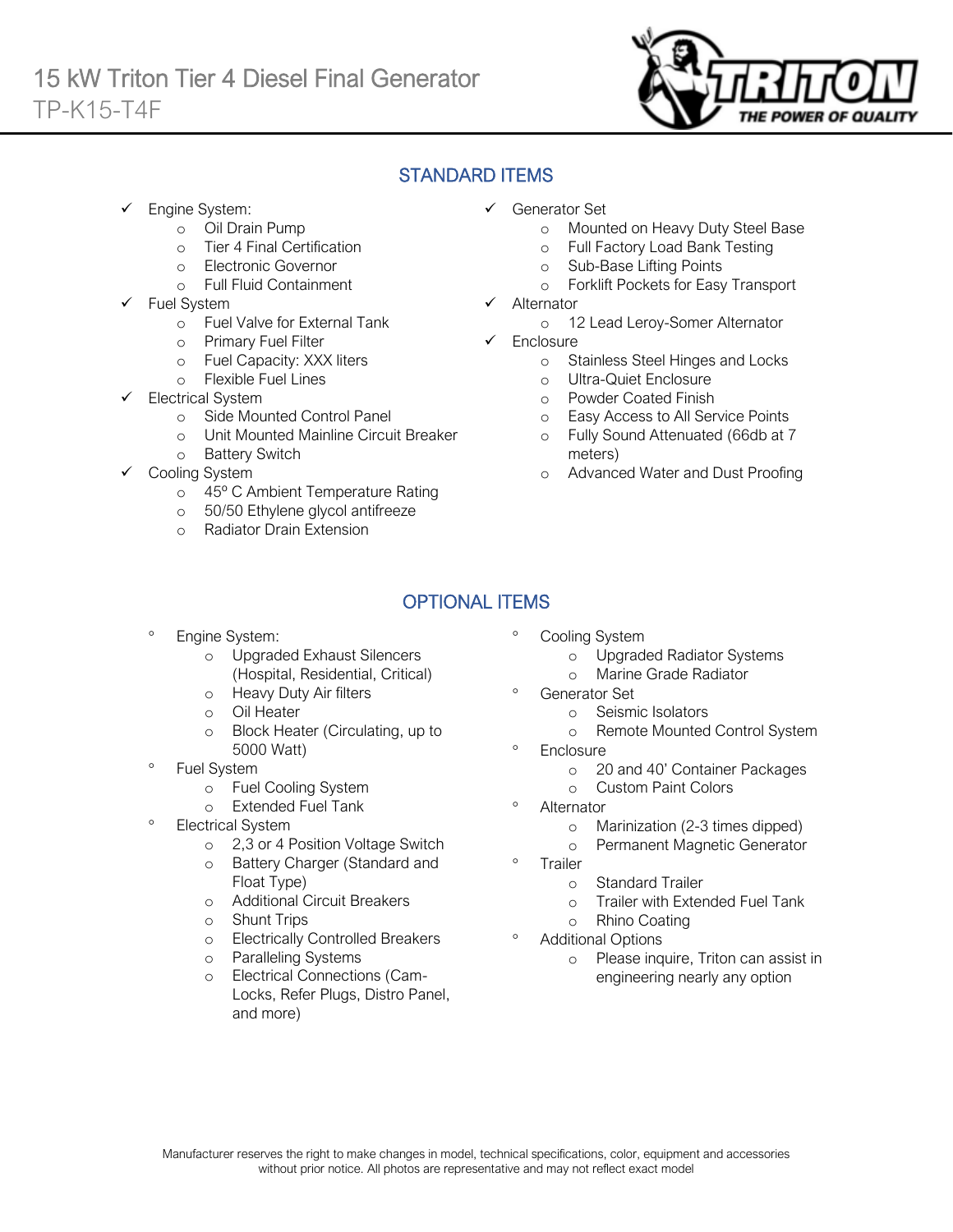

# STANDARD ITEMS

Engine System:

Ī

- o Oil Drain Pump
- o Tier 4 Final Certification
- o Electronic Governor
- o Full Fluid Containment
- Fuel System
	- o Fuel Valve for External Tank
	- o Primary Fuel Filter
	- o Fuel Capacity: XXX liters
	- o Flexible Fuel Lines
- Electrical System
	- o Side Mounted Control Panel
	- o Unit Mounted Mainline Circuit Breaker
	- o Battery Switch
- Cooling System
	- o 45º C Ambient Temperature Rating
	- o 50/50 Ethylene glycol antifreeze
	- o Radiator Drain Extension
- ✓ Generator Set
	- o Mounted on Heavy Duty Steel Base
	- o Full Factory Load Bank Testing
	- o Sub-Base Lifting Points
	- o Forklift Pockets for Easy Transport
- **Alternator** 
	- o 12 Lead Leroy-Somer Alternator
- ✓ Enclosure
	- o Stainless Steel Hinges and Locks
	- o Ultra-Quiet Enclosure
	- o Powder Coated Finish
	- o Easy Access to All Service Points
	- o Fully Sound Attenuated (66db at 7 meters)
	- o Advanced Water and Dust Proofing

# OPTIONAL ITEMS

- Engine System:
	- o Upgraded Exhaust Silencers (Hospital, Residential, Critical)
	- o Heavy Duty Air filters
	- o Oil Heater
	- o Block Heater (Circulating, up to 5000 Watt)
- Fuel System
	- o Fuel Cooling System
	- o Extended Fuel Tank
- Electrical System
	- o 2,3 or 4 Position Voltage Switch
	- o Battery Charger (Standard and Float Type)
	- o Additional Circuit Breakers
	- o Shunt Trips
	- o Electrically Controlled Breakers
	- o Paralleling Systems
	- Electrical Connections (Cam-Locks, Refer Plugs, Distro Panel, and more)
- Cooling System
	- o Upgraded Radiator Systems
	- o Marine Grade Radiator
- Generator Set
	- o Seismic Isolators
	- o Remote Mounted Control System
- <sup>o</sup> Enclosure
	- o 20 and 40' Container Packages
	- o Custom Paint Colors
- <sup>o</sup> Alternator
	- o Marinization (2-3 times dipped)
	- o Permanent Magnetic Generator
- <sup>o</sup> Trailer
	- o Standard Trailer
	- o Trailer with Extended Fuel Tank
	- o Rhino Coating
- Additional Options
	- o Please inquire, Triton can assist in engineering nearly any option